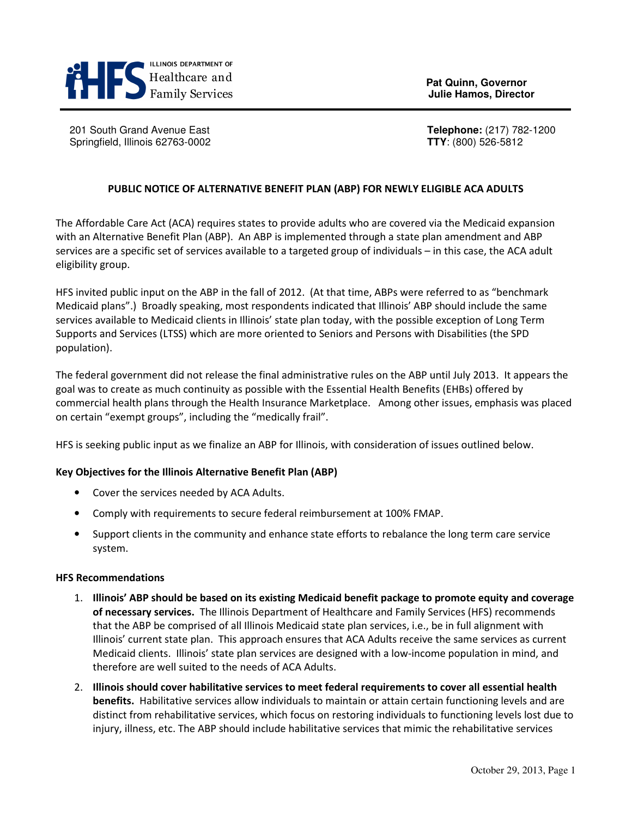

**Pat Quinn, Governor Pat Quinn, Governor** *Family Services Bullie Hamos, Director Bullie Hamos, Director* 

201 South Grand Avenue East **Telephone:** (217) 782-1200 Springfield, Illinois 62763-0002 **TTY**: (800) 526-5812

## PUBLIC NOTICE OF ALTERNATIVE BENEFIT PLAN (ABP) FOR NEWLY ELIGIBLE ACA ADULTS

The Affordable Care Act (ACA) requires states to provide adults who are covered via the Medicaid expansion with an Alternative Benefit Plan (ABP). An ABP is implemented through a state plan amendment and ABP services are a specific set of services available to a targeted group of individuals – in this case, the ACA adult eligibility group.

HFS invited public input on the ABP in the fall of 2012. (At that time, ABPs were referred to as "benchmark Medicaid plans".) Broadly speaking, most respondents indicated that Illinois' ABP should include the same services available to Medicaid clients in Illinois' state plan today, with the possible exception of Long Term Supports and Services (LTSS) which are more oriented to Seniors and Persons with Disabilities (the SPD population).

The federal government did not release the final administrative rules on the ABP until July 2013. It appears the goal was to create as much continuity as possible with the Essential Health Benefits (EHBs) offered by commercial health plans through the Health Insurance Marketplace. Among other issues, emphasis was placed on certain "exempt groups", including the "medically frail".

HFS is seeking public input as we finalize an ABP for Illinois, with consideration of issues outlined below.

#### Key Objectives for the Illinois Alternative Benefit Plan (ABP)

- Cover the services needed by ACA Adults.
- Comply with requirements to secure federal reimbursement at 100% FMAP.
- Support clients in the community and enhance state efforts to rebalance the long term care service system.

#### HFS Recommendations

- 1. Illinois' ABP should be based on its existing Medicaid benefit package to promote equity and coverage of necessary services. The Illinois Department of Healthcare and Family Services (HFS) recommends that the ABP be comprised of all Illinois Medicaid state plan services, i.e., be in full alignment with Illinois' current state plan. This approach ensures that ACA Adults receive the same services as current Medicaid clients. Illinois' state plan services are designed with a low-income population in mind, and therefore are well suited to the needs of ACA Adults.
- 2. Illinois should cover habilitative services to meet federal requirements to cover all essential health benefits. Habilitative services allow individuals to maintain or attain certain functioning levels and are distinct from rehabilitative services, which focus on restoring individuals to functioning levels lost due to injury, illness, etc. The ABP should include habilitative services that mimic the rehabilitative services